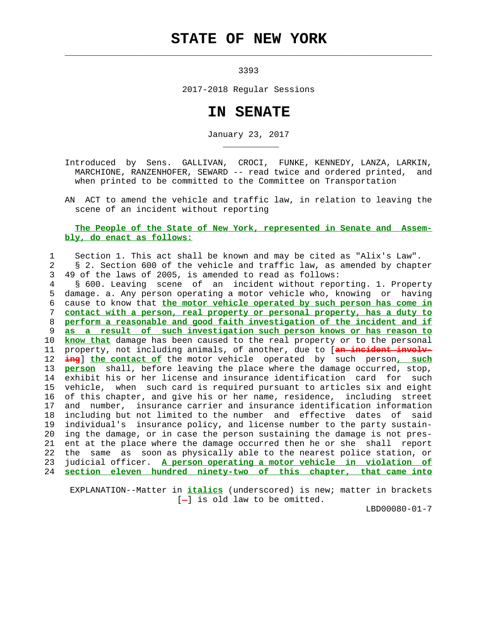## **STATE OF NEW YORK**

 $\mathcal{L}_\text{max} = \frac{1}{2} \sum_{i=1}^{n} \frac{1}{2} \sum_{i=1}^{n} \frac{1}{2} \sum_{i=1}^{n} \frac{1}{2} \sum_{i=1}^{n} \frac{1}{2} \sum_{i=1}^{n} \frac{1}{2} \sum_{i=1}^{n} \frac{1}{2} \sum_{i=1}^{n} \frac{1}{2} \sum_{i=1}^{n} \frac{1}{2} \sum_{i=1}^{n} \frac{1}{2} \sum_{i=1}^{n} \frac{1}{2} \sum_{i=1}^{n} \frac{1}{2} \sum_{i=1}^{n} \frac{1$ 

3393

2017-2018 Regular Sessions

## **IN SENATE**

January 23, 2017

 Introduced by Sens. GALLIVAN, CROCI, FUNKE, KENNEDY, LANZA, LARKIN, MARCHIONE, RANZENHOFER, SEWARD -- read twice and ordered printed, and when printed to be committed to the Committee on Transportation

 AN ACT to amend the vehicle and traffic law, in relation to leaving the scene of an incident without reporting

## **The People of the State of New York, represented in Senate and Assem bly, do enact as follows:**

## 1 Section 1. This act shall be known and may be cited as "Alix's Law". 2 § 2. Section 600 of the vehicle and traffic law, as amended by chapter

3 49 of the laws of 2005, is amended to read as follows:

\_\_\_\_\_\_\_\_\_\_\_

 4 § 600. Leaving scene of an incident without reporting. 1. Property 5 damage. a. Any person operating a motor vehicle who, knowing or having 6 cause to know that **the motor vehicle operated by such person has come in** 7 **contact with a person, real property or personal property, has a duty to** 8 **perform a reasonable and good faith investigation of the incident and if** 9 **as a result of such investigation such person knows or has reason to** 10 **know that** damage has been caused to the real property or to the personal 11 property, not including animals, of another, due to [**an incident involv-** 12 **ing**] **the contact of** the motor vehicle operated by such person**, such** 13 **person** shall, before leaving the place where the damage occurred, stop, 14 exhibit his or her license and insurance identification card for such 15 vehicle, when such card is required pursuant to articles six and eight 16 of this chapter, and give his or her name, residence, including street 17 and number, insurance carrier and insurance identification information 18 including but not limited to the number and effective dates of said 19 individual's insurance policy, and license number to the party sustain- 20 ing the damage, or in case the person sustaining the damage is not pres- 21 ent at the place where the damage occurred then he or she shall report 22 the same as soon as physically able to the nearest police station, or 23 judicial officer. **A person operating a motor vehicle in violation of** 24 **section eleven hundred ninety-two of this chapter, that came into**

 EXPLANATION--Matter in **italics** (underscored) is new; matter in brackets  $[-]$  is old law to be omitted.

LBD00080-01-7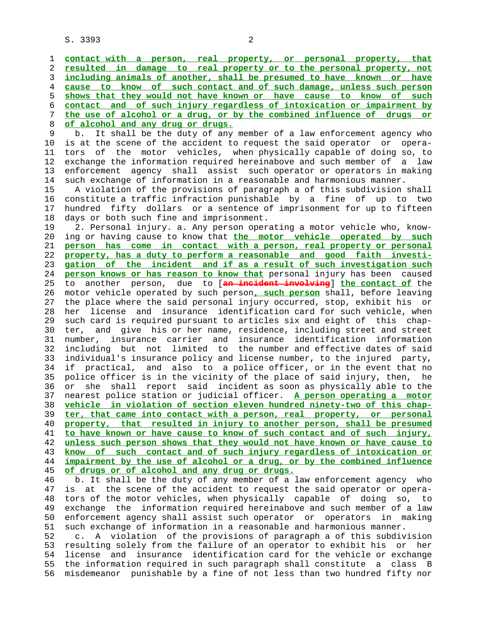S. 3393 2

**contact with a person, real property, or personal property, that resulted in damage to real property or to the personal property, not including animals of another, shall be presumed to have known or have cause to know of such contact and of such damage, unless such person shows that they would not have known or have cause to know of such contact and of such injury regardless of intoxication or impairment by the use of alcohol or a drug, or by the combined influence of drugs or of alcohol and any drug or drugs.**

b. It shall be the duty of any member of a law enforcement agency who 10 is at the scene of the accident to request the said operator or opera- 11 tors of the motor vehicles, when physically capable of doing so, to 12 exchange the information required hereinabove and such member of a law 13 enforcement agency shall assist such operator or operators in making 14 such exchange of information in a reasonable and harmonious manner.

 15 A violation of the provisions of paragraph a of this subdivision shall 16 constitute a traffic infraction punishable by a fine of up to two 17 hundred fifty dollars or a sentence of imprisonment for up to fifteen 18 days or both such fine and imprisonment.

 19 2. Personal injury. a. Any person operating a motor vehicle who, know- 20 ing or having cause to know that **the motor vehicle operated by such** 21 **person has come in contact with a person, real property or personal** 22 **property, has a duty to perform a reasonable and good faith investi-** 23 **gation of the incident and if as a result of such investigation such** 24 **person knows or has reason to know that** personal injury has been caused 25 to another person, due to [**an incident involving**] **the contact of** the 26 motor vehicle operated by such person**, such person** shall, before leaving 27 the place where the said personal injury occurred, stop, exhibit his or 28 her license and insurance identification card for such vehicle, when 29 such card is required pursuant to articles six and eight of this chap- 30 ter, and give his or her name, residence, including street and street 31 number, insurance carrier and insurance identification information 32 including but not limited to the number and effective dates of said 33 individual's insurance policy and license number, to the injured party, 34 if practical, and also to a police officer, or in the event that no 35 police officer is in the vicinity of the place of said injury, then, he 36 or she shall report said incident as soon as physically able to the 37 nearest police station or judicial officer. **A person operating a motor** 38 **vehicle in violation of section eleven hundred ninety-two of this chap-** 39 **ter, that came into contact with a person, real property, or personal** 40 **property, that resulted in injury to another person, shall be presumed** 41 **to have known or have cause to know of such contact and of such injury,** 42 **unless such person shows that they would not have known or have cause to** 43 **know of such contact and of such injury regardless of intoxication or** 44 **impairment by the use of alcohol or a drug, or by the combined influence** 45 **of drugs or of alcohol and any drug or drugs.**

 46 b. It shall be the duty of any member of a law enforcement agency who 47 is at the scene of the accident to request the said operator or opera- 48 tors of the motor vehicles, when physically capable of doing so, to 49 exchange the information required hereinabove and such member of a law 50 enforcement agency shall assist such operator or operators in making 51 such exchange of information in a reasonable and harmonious manner.

 52 c. A violation of the provisions of paragraph a of this subdivision 53 resulting solely from the failure of an operator to exhibit his or her 54 license and insurance identification card for the vehicle or exchange 55 the information required in such paragraph shall constitute a class B 56 misdemeanor punishable by a fine of not less than two hundred fifty nor